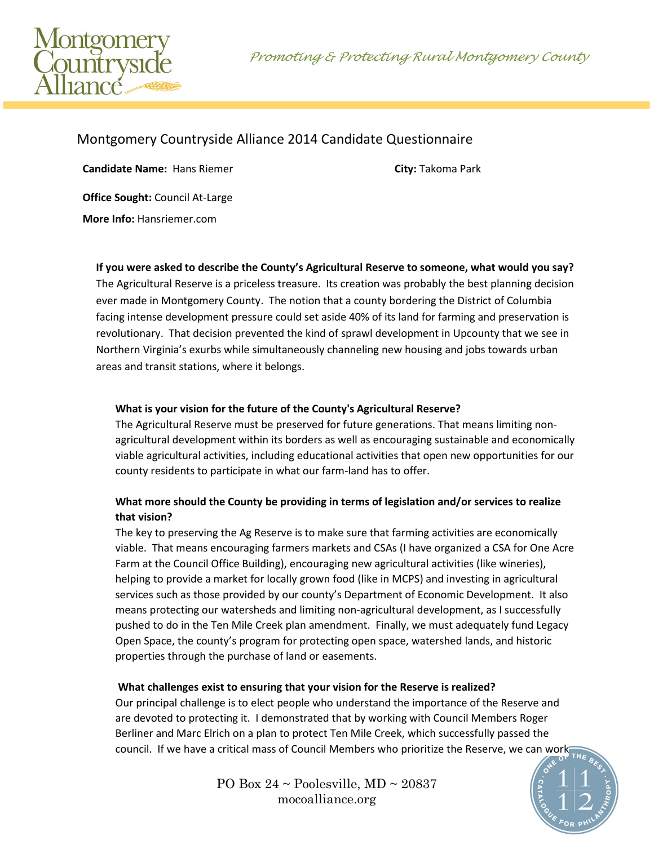Promoting & Protecting Rural Montgomery County



# Montgomery Countryside Alliance 2014 Candidate Questionnaire

**Candidate Name:** Hans Riemer **City: Takoma Park City: Takoma Park** 

**Office Sought:** Council At-Large **More Info:** Hansriemer.com

**If you were asked to describe the County's Agricultural Reserve to someone, what would you say?** The Agricultural Reserve is a priceless treasure. Its creation was probably the best planning decision ever made in Montgomery County. The notion that a county bordering the District of Columbia facing intense development pressure could set aside 40% of its land for farming and preservation is revolutionary. That decision prevented the kind of sprawl development in Upcounty that we see in Northern Virginia's exurbs while simultaneously channeling new housing and jobs towards urban areas and transit stations, where it belongs.

#### **What is your vision for the future of the County's Agricultural Reserve?**

The Agricultural Reserve must be preserved for future generations. That means limiting nonagricultural development within its borders as well as encouraging sustainable and economically viable agricultural activities, including educational activities that open new opportunities for our county residents to participate in what our farm-land has to offer.

### **What more should the County be providing in terms of legislation and/or services to realize that vision?**

The key to preserving the Ag Reserve is to make sure that farming activities are economically viable. That means encouraging farmers markets and CSAs (I have organized a CSA for One Acre Farm at the Council Office Building), encouraging new agricultural activities (like wineries), helping to provide a market for locally grown food (like in MCPS) and investing in agricultural services such as those provided by our county's Department of Economic Development. It also means protecting our watersheds and limiting non-agricultural development, as I successfully pushed to do in the Ten Mile Creek plan amendment. Finally, we must adequately fund Legacy Open Space, the county's program for protecting open space, watershed lands, and historic properties through the purchase of land or easements.

#### **What challenges exist to ensuring that your vision for the Reserve is realized?**

Our principal challenge is to elect people who understand the importance of the Reserve and are devoted to protecting it. I demonstrated that by working with Council Members Roger Berliner and Marc Elrich on a plan to protect Ten Mile Creek, which successfully passed the council. If we have a critical mass of Council Members who prioritize the Reserve, we can work

> PO Box  $24 \sim$  Poolesville, MD  $\sim$  20837 mocoalliance.org